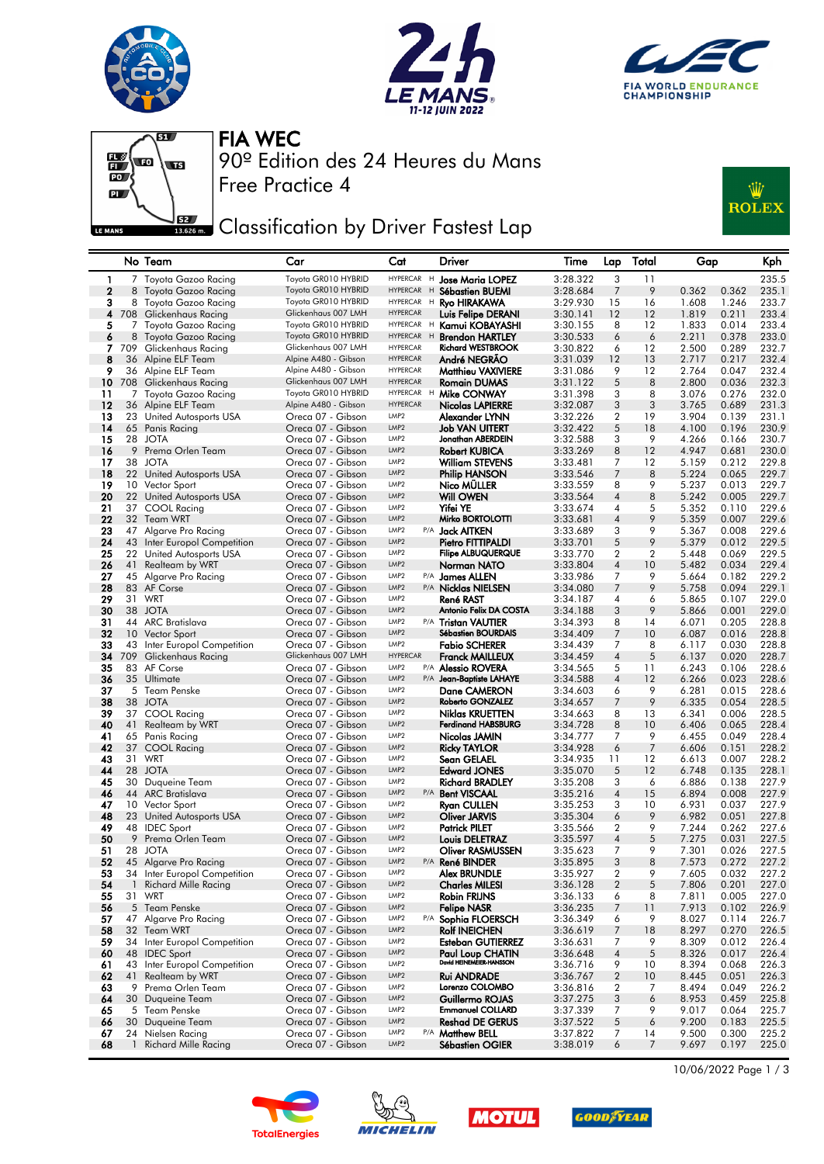







Free Practice 4 90º Edition des 24 Heures du Mans FIA WEC

## **JEZY** Classification by Driver Fastest Lap



|              |              | No Team                                      | Car                                         | Cat                                  |     | Driver                                              | Time                 | Lap                                  | Total          | Gap            |                | Kph            |
|--------------|--------------|----------------------------------------------|---------------------------------------------|--------------------------------------|-----|-----------------------------------------------------|----------------------|--------------------------------------|----------------|----------------|----------------|----------------|
| 1            |              | 7 Toyota Gazoo Racing                        | Toyota GR010 HYBRID                         | HYPERCAR H                           |     | Jose Maria LOPEZ                                    | 3:28.322             | 3                                    | 11             |                |                | 235.5          |
| $\mathbf{2}$ | 8            | Toyota Gazoo Racing                          | Toyota GR010 HYBRID                         | HYPERCAR H                           |     | Sébastien BUEMI                                     | 3:28.684             | 7                                    | 9              | 0.362          | 0.362          | 235.1          |
| 3            |              | 8 Toyota Gazoo Racing                        | Toyota GR010 HYBRID                         | HYPERCAR H                           |     | <b>Ryo HIRAKAWA</b>                                 | 3:29.930             | 15                                   | 16             | 1.608          | 1.246          | 233.7          |
| 4            |              | 708 Glickenhaus Racing                       | Glickenhaus 007 LMH                         | <b>HYPERCAR</b>                      |     | Luis Felipe DERANI                                  | 3:30.141             | 12                                   | 12             | 1.819          | 0.211          | 233.4          |
| 5            |              | 7 Toyota Gazoo Racing                        | Toyota GR010 HYBRID                         | HYPERCAR H                           |     | Kamui KOBAYASHI                                     | 3:30.155             | 8                                    | 12             | 1.833          | 0.014          | 233.4          |
| 6            |              | 8 Toyota Gazoo Racing                        | Toyota GR010 HYBRID                         | HYPERCAR H                           |     | <b>Brendon HARTLEY</b>                              | 3:30.533             | 6                                    | 6              | 2.211          | 0.378          | 233.0          |
| 7            | 709          | Glickenhaus Racing                           | Glickenhaus 007 LMH                         | <b>HYPERCAR</b>                      |     | <b>Richard WESTBROOK</b>                            | 3:30.822             | 6                                    | 12             | 2.500          | 0.289          | 232.7          |
| 8            |              | 36 Alpine ELF Team                           | Alpine A480 - Gibson                        | <b>HYPERCAR</b>                      |     | André NEGRAO                                        | 3:31.039             | 12                                   | 13             | 2.717          | 0.217          | 232.4          |
| 9<br>10      |              | 36 Alpine ELF Team<br>708 Glickenhaus Racing | Alpine A480 - Gibson<br>Glickenhaus 007 LMH | <b>HYPERCAR</b><br><b>HYPERCAR</b>   |     | <b>Matthieu VAXIVIERE</b><br><b>Romain DUMAS</b>    | 3:31.086<br>3:31.122 | 9<br>5                               | 12<br>8        | 2.764<br>2.800 | 0.047<br>0.036 | 232.4<br>232.3 |
| 11           |              | 7 Toyota Gazoo Racing                        | Toyota GR010 HYBRID                         | <b>HYPERCAR</b>                      | н   | Mike CONWAY                                         | 3:31.398             | 3                                    | 8              | 3.076          | 0.276          | 232.0          |
| 12           |              | 36 Alpine ELF Team                           | Alpine A480 - Gibson                        | <b>HYPERCAR</b>                      |     | Nicolas LAPIERRE                                    | 3:32.087             | 3                                    | 3              | 3.765          | 0.689          | 231.3          |
| 13           |              | 23 United Autosports USA                     | Oreca 07 - Gibson                           | LMP <sub>2</sub>                     |     | Alexander LYNN                                      | 3:32.226             | 2                                    | 19             | 3.904          | 0.139          | 231.1          |
| 14           |              | 65 Panis Racing                              | Oreca 07 - Gibson                           | LMP <sub>2</sub>                     |     | <b>Job VAN UITERT</b>                               | 3:32.422             | 5                                    | 18             | 4.100          | 0.196          | 230.9          |
| 15           |              | 28 JOTA                                      | Oreca 07 - Gibson                           | LMP <sub>2</sub>                     |     | Jonathan ABERDEIN                                   | 3:32.588             | 3                                    | 9              | 4.266          | 0.166          | 230.7          |
| 16           |              | 9 Prema Orlen Team                           | Oreca 07 - Gibson                           | LMP <sub>2</sub>                     |     | <b>Robert KUBICA</b>                                | 3:33.269             | 8                                    | 12             | 4.947          | 0.681          | 230.0          |
| 17           |              | 38 JOTA                                      | Oreca 07 - Gibson                           | LMP <sub>2</sub>                     |     | <b>William STEVENS</b>                              | 3:33.481             | 7                                    | 12             | 5.159          | 0.212          | 229.8          |
| 18           |              | 22 United Autosports USA                     | Oreca 07 - Gibson                           | LMP <sub>2</sub>                     |     | Philip HANSON                                       | 3:33.546             | 7                                    | 8              | 5.224          | 0.065          | 229.7          |
| 19           |              | 10 Vector Sport                              | Oreca 07 - Gibson                           | LMP <sub>2</sub>                     |     | Nico MULLER                                         | 3:33.559             | 8                                    | 9              | 5.237          | 0.013          | 229.7          |
| 20           |              | 22 United Autosports USA                     | Oreca 07 - Gibson                           | LMP <sub>2</sub>                     |     | Will OWEN                                           | 3:33.564             | $\overline{4}$                       | 8              | 5.242          | 0.005          | 229.7          |
| 21           |              | 37 COOL Racing                               | Oreca 07 - Gibson                           | LMP <sub>2</sub>                     |     | Yifei YE                                            | 3:33.674             | 4                                    | 5              | 5.352          | 0.110          | 229.6          |
| 22           |              | 32 Team WRT                                  | Oreca 07 - Gibson                           | LMP <sub>2</sub>                     |     | Mirko BORTOLOTTI                                    | 3:33.681             | $\overline{4}$                       | 9              | 5.359          | 0.007          | 229.6          |
| 23           | 47           | Algarve Pro Racing                           | Oreca 07 - Gibson                           | LMP2                                 |     | P/A <b>Jack AITKEN</b>                              | 3:33.689             | 3                                    | 9              | 5.367          | 0.008          | 229.6          |
| 24           |              | 43 Inter Europol Competition                 | Oreca 07 - Gibson                           | LMP <sub>2</sub>                     |     | Pietro FITTIPALDI                                   | 3:33.701             | 5                                    | 9              | 5.379          | 0.012          | 229.5          |
| 25           |              | 22 United Autosports USA                     | Oreca 07 - Gibson                           | LMP <sub>2</sub>                     |     | <b>Filipe ALBUQUERQUE</b>                           | 3:33.770             | 2                                    | 2              | 5.448          | 0.069          | 229.5          |
| 26           | 41           | <b>Realteam by WRT</b>                       | Oreca 07 - Gibson                           | LMP <sub>2</sub>                     |     | Norman NATO                                         | 3:33.804             | $\overline{4}$                       | 10             | 5.482          | 0.034          | 229.4          |
| 27           |              | 45 Algarve Pro Racing                        | Oreca 07 - Gibson                           | LMP2                                 |     | P/A James ALLEN                                     | 3:33.986             | 7                                    | 9              | 5.664          | 0.182          | 229.2          |
| 28           |              | 83 AF Corse                                  | Oreca 07 - Gibson<br>Oreca 07 - Gibson      | LMP <sub>2</sub><br>LMP <sub>2</sub> |     | P/A Nicklas NIELSEN                                 | 3:34.080             | 7                                    | 9              | 5.758          | 0.094          | 229.1          |
| 29<br>30     |              | 31 WRT<br>38 JOTA                            | Oreca 07 - Gibson                           | LMP <sub>2</sub>                     |     | René RAST<br>Antonio Felix DA COSTA                 | 3:34.187<br>3:34.188 | 4<br>3                               | 6<br>9         | 5.865<br>5.866 | 0.107<br>0.001 | 229.0<br>229.0 |
| 31           |              | 44 ARC Bratislava                            | Oreca 07 - Gibson                           | LMP <sub>2</sub>                     |     | P/A Tristan VAUTIER                                 | 3:34.393             | 8                                    | 14             | 6.071          | 0.205          | 228.8          |
| 32           |              | 10 Vector Sport                              | Oreca 07 - Gibson                           | LMP <sub>2</sub>                     |     | <b>Sébastien BOURDAIS</b>                           | 3:34.409             | 7                                    | 10             | 6.087          | 0.016          | 228.8          |
| 33           |              | 43 Inter Europol Competition                 | Oreca 07 - Gibson                           | LMP <sub>2</sub>                     |     | <b>Fabio SCHERER</b>                                | 3:34.439             | 7                                    | 8              | 6.117          | 0.030          | 228.8          |
| 34           | 709          | Glickenhaus Racing                           | Glickenhaus 007 LMH                         | <b>HYPERCAR</b>                      |     | <b>Franck MAILLEUX</b>                              | 3:34.459             | $\overline{4}$                       | 5              | 6.137          | 0.020          | 228.7          |
| 35           |              | 83 AF Corse                                  | Oreca 07 - Gibson                           | LMP <sub>2</sub>                     |     | P/A Alessio ROVERA                                  | 3:34.565             | 5                                    | 11             | 6.243          | 0.106          | 228.6          |
| 36           |              | 35 Ultimate                                  | Oreca 07 - Gibson                           | LMP <sub>2</sub>                     |     | P/A Jean-Baptiste LAHAYE                            | 3:34.588             | $\overline{4}$                       | 12             | 6.266          | 0.023          | 228.6          |
| 37           |              | 5 Team Penske                                | Oreca 07 - Gibson                           | LMP <sub>2</sub>                     |     | Dane CAMERON                                        | 3:34.603             | 6                                    | 9              | 6.281          | 0.015          | 228.6          |
| 38           |              | 38 JOTA                                      | Oreca 07 - Gibson                           | LMP <sub>2</sub>                     |     | Roberto GONZALEZ                                    | 3:34.657             | 7                                    | 9              | 6.335          | 0.054          | 228.5          |
| 39           |              | 37 COOL Racing                               | Oreca 07 - Gibson                           | LMP <sub>2</sub>                     |     | Niklas KRUETTEN                                     | 3:34.663             | 8                                    | 13             | 6.341          | 0.006          | 228.5          |
| 40           | 41           | Realteam by WRT                              | Oreca 07 - Gibson                           | LMP <sub>2</sub>                     |     | <b>Ferdinand HABSBURG</b>                           | 3:34.728             | 8                                    | 10             | 6.406          | 0.065          | 228.4          |
| 41           |              | 65 Panis Racing                              | Oreca 07 - Gibson                           | LMP <sub>2</sub>                     |     | Nicolas JAMIN                                       | 3:34.777             | 7                                    | 9              | 6.455          | 0.049          | 228.4          |
| 42           |              | 37 COOL Racing                               | Oreca 07 - Gibson                           | LMP <sub>2</sub>                     |     | <b>Ricky TAYLOR</b>                                 | 3:34.928             | 6                                    | 7              | 6.606          | 0.151          | 228.2          |
| 43           |              | 31 WRT                                       | Oreca 07 - Gibson                           | LMP <sub>2</sub>                     |     | Sean GELAEL                                         | 3:34.935             | 11                                   | 12             | 6.613          | 0.007          | 228.2          |
| 44           |              | 28 JOTA                                      | Oreca 07 - Gibson                           | LMP <sub>2</sub>                     |     | <b>Edward JONES</b>                                 | 3:35.070             | 5                                    | 12             | 6.748          | 0.135          | 228.1          |
| 45<br>46     | 30           | Duqueine Team<br>44 ARC Bratislava           | Oreca 07 - Gibson<br>Oreca 07 - Gibson      | LMP <sub>2</sub><br>LMP <sub>2</sub> |     | <b>Richard BRADLEY</b>                              | 3:35.208             | 3<br>$\overline{4}$                  | 6<br>15        | 6.886          | 0.138<br>0.008 | 227.9          |
| 47           |              | 10 Vector Sport                              | Oreca 07 - Gibson                           | LMP <sub>2</sub>                     |     | P/A Bent VISCAAL<br>Ryan CULLEN                     | 3:35.216<br>3:35.253 | 3                                    | 10             | 6.894<br>6.931 | 0.037          | 227.9<br>227.9 |
| 48           |              | 23 United Autosports USA                     | Oreca 07 - Gibson                           | LMP <sub>2</sub>                     |     | <b>Oliver JARVIS</b>                                | 3:35.304             | 6                                    | 9              | 6.982          | 0.051          | 227.8          |
| 49           |              | 48 IDEC Sport                                | Oreca 07 - Gibson                           | LMP <sub>2</sub>                     |     | <b>Patrick PILET</b>                                | 3:35.566             | 2                                    | 9              | 7.244          | 0.262          | 227.6          |
| 50           | 9            | Prema Orlen Team                             | Oreca 07 - Gibson                           | LMP <sub>2</sub>                     |     | Louis DELETRAZ                                      | 3:35.597             | $\overline{4}$                       | 5              | 7.275          | 0.031          | 227.5          |
| 51           | 28           | JOTA                                         | Oreca 07 - Gibson                           | LMP <sub>2</sub>                     |     | Oliver RASMUSSEN                                    | 3:35.623             | 7                                    | 9              | 7.301          | 0.026          | 227.5          |
| 52           |              | 45 Algarve Pro Racing                        | Oreca 07 - Gibson                           | LMP <sub>2</sub>                     |     | P/A René BINDER                                     | 3:35.895             | 3                                    | 8              | 7.573          | 0.272          | 227.2          |
| 53           |              | 34 Inter Europol Competition                 | Oreca 07 - Gibson                           | LMP2                                 |     | Alex BRUNDLE                                        | 3:35.927             | 2                                    | 9              | 7.605          | 0.032          | 227.2          |
| 54           |              | 1 Richard Mille Racing                       | Oreca 07 - Gibson                           | LMP2                                 |     | <b>Charles MILESI</b>                               | 3:36.128             | $\overline{c}$                       | 5              | 7.806          | 0.201          | 227.0          |
| 55           |              | 31 WRT                                       | Oreca 07 - Gibson                           | LMP2                                 |     | Robin FRIJNS                                        | 3:36.133             | 6                                    | 8              | 7.811          | 0.005          | 227.0          |
| 56           |              | 5 Team Penske                                | Oreca 07 - Gibson                           | LMP2                                 |     | <b>Felipe NASR</b>                                  | 3:36.235             | 7                                    | 11             | 7.913          | 0.102          | 226.9          |
| 57           |              | 47 Algarve Pro Racing                        | Oreca 07 - Gibson                           | LMP2                                 | P/A | Sophia FLOERSCH                                     | 3:36.349             | 6                                    | 9              | 8.027          | 0.114          | 226.7          |
| 58           |              | 32 Team WRT                                  | Oreca 07 - Gibson                           | LMP2                                 |     | <b>Rolf INEICHEN</b>                                | 3:36.619             | 7                                    | 18             | 8.297          | 0.270          | 226.5          |
| 59           |              | 34 Inter Europol Competition                 | Oreca 07 - Gibson                           | LMP2                                 |     | Esteban GUTIERREZ                                   | 3:36.631             | 7                                    | 9              | 8.309          | 0.012          | 226.4          |
| 60           |              | 48 IDEC Sport                                | Oreca 07 - Gibson                           | LMP2                                 |     | <b>Paul Loup CHATIN</b><br>David HEINEMEIER-HANSSON | 3:36.648             | $\overline{4}$                       | $\overline{5}$ | 8.326          | 0.017          | 226.4          |
| 61           |              | 43 Inter Europol Competition                 | Oreca 07 - Gibson                           | LMP <sub>2</sub>                     |     |                                                     | 3:36.716             | 9                                    | 10             | 8.394          | 0.068          | 226.3          |
| 62<br>63     |              | 41 Realteam by WRT                           | Oreca 07 - Gibson                           | LMP2<br>LMP2                         |     | <b>Rui ANDRADE</b><br>Lorenzo COLOMBO               | 3:36.767             | $\boldsymbol{2}$<br>$\boldsymbol{2}$ | 10<br>7        | 8.445          | 0.051<br>0.049 | 226.3          |
| 64           | 9            | Prema Orlen Team<br>30 Duqueine Team         | Oreca 07 - Gibson<br>Oreca 07 - Gibson      | LMP2                                 |     | Guillermo ROJAS                                     | 3:36.816<br>3:37.275 | 3                                    | 6              | 8.494<br>8.953 | 0.459          | 226.2<br>225.8 |
| 65           |              | 5 Team Penske                                | Oreca 07 - Gibson                           | LMP2                                 |     | <b>Emmanuel COLLARD</b>                             | 3:37.339             | 7                                    | 9              | 9.017          | 0.064          | 225.7          |
| 66           | 30           | Duqueine Team                                | Oreca 07 - Gibson                           | LMP2                                 |     | <b>Reshad DE GERUS</b>                              | 3:37.522             | $\sqrt{5}$                           | 6              | 9.200          | 0.183          | 225.5          |
| 67           | 24           | Nielsen Racing                               | Oreca 07 - Gibson                           | LMP2                                 |     | P/A Matthew BELL                                    | 3:37.822             | 7                                    | 14             | 9.500          | 0.300          | 225.2          |
| 68           | $\mathbf{1}$ | <b>Richard Mille Racing</b>                  | Oreca 07 - Gibson                           | LMP2                                 |     | Sébastien OGIER                                     | 3:38.019             | 6                                    | 7              | 9.697          | 0.197          | 225.0          |









10/06/2022 Page 1 / 3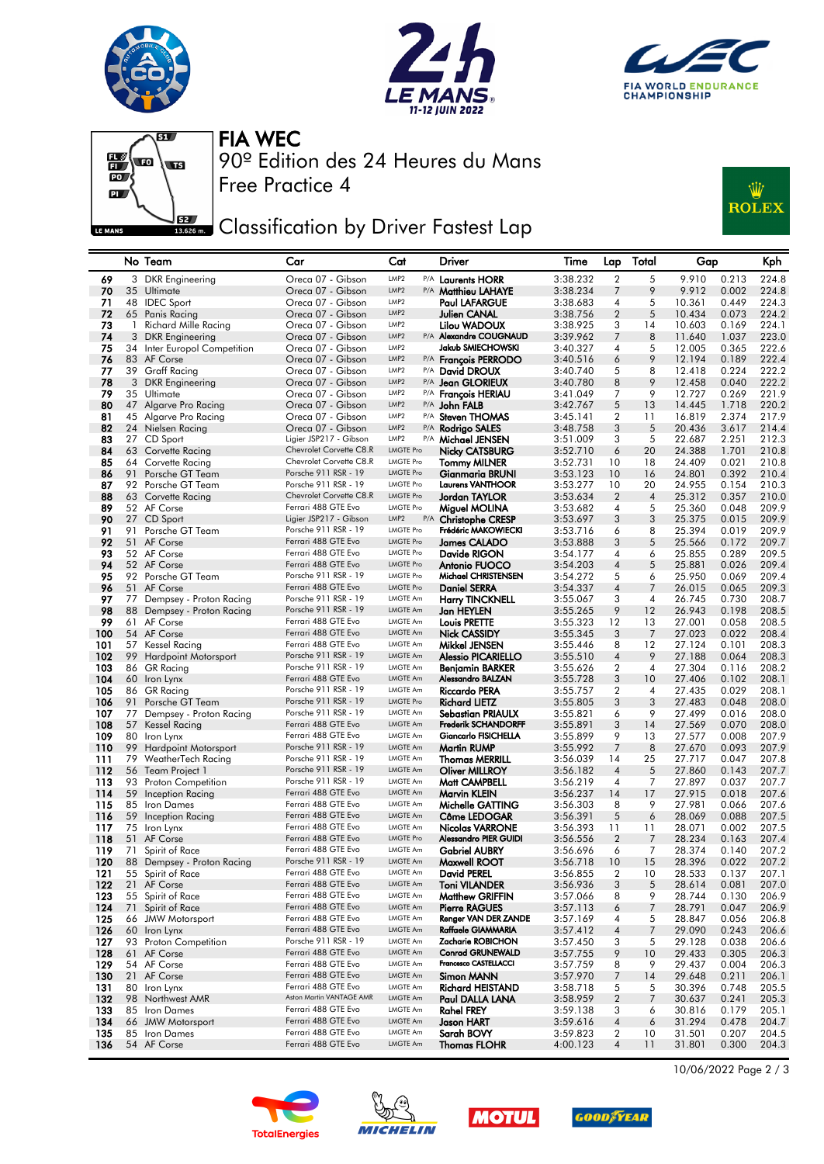







Free Practice 4 90º Edition des 24 Heures du Mans FIA WEC

## Classification by Driver Fastest Lap



|            |              | No Team                                           | Car                                             | Cat                                  | Driver                                     | Time                 | Lap                 | Total          | Gap              |                | Kph            |
|------------|--------------|---------------------------------------------------|-------------------------------------------------|--------------------------------------|--------------------------------------------|----------------------|---------------------|----------------|------------------|----------------|----------------|
| 69         |              | 3 DKR Engineering                                 | Oreca 07 - Gibson                               | LMP <sub>2</sub>                     | P/A Laurents HORR                          | 3:38.232             | 2                   | 5              | 9.910            | 0.213          | 224.8          |
| 70         |              | 35 Ultimate                                       | Oreca 07 - Gibson                               | LMP <sub>2</sub>                     | P/A <b>Matthieu LAHAYE</b>                 | 3:38.234             | 7                   | 9              | 9.912            | 0.002          | 224.8          |
| 71         |              | 48 IDEC Sport                                     | Oreca 07 - Gibson                               | LMP <sub>2</sub>                     | <b>Paul LAFARGUE</b>                       | 3:38.683             | 4                   | 5              | 10.361           | 0.449          | 224.3          |
| 72         |              | 65 Panis Racing                                   | Oreca 07 - Gibson                               | LMP <sub>2</sub>                     | Julien CANAL                               | 3:38.756             | $\overline{2}$      | 5              | 10.434           | 0.073          | 224.2          |
| 73         | $\mathbf{1}$ | Richard Mille Racing                              | Oreca 07 - Gibson                               | LMP <sub>2</sub><br>LMP <sub>2</sub> | Lilou WADOUX<br>P/A Alexandre COUGNAUD     | 3:38.925             | 3                   | 14             | 10.603           | 0.169          | 224.1          |
| 74<br>75   |              | 3 DKR Engineering<br>34 Inter Europol Competition | Oreca 07 - Gibson<br>Oreca 07 - Gibson          | LMP <sub>2</sub>                     | <b>Jakub SMIECHOWSKI</b>                   | 3:39.962<br>3:40.327 | 7<br>4              | 8<br>5         | 11.640<br>12.005 | 1.037<br>0.365 | 223.0<br>222.6 |
| 76         |              | 83 AF Corse                                       | Oreca 07 - Gibson                               | LMP <sub>2</sub>                     | P/A Francois PERRODO                       | 3:40.516             | 6                   | 9              | 12.194           | 0.189          | 222.4          |
| 77         |              | 39 Graff Racing                                   | Oreca 07 - Gibson                               | LMP <sub>2</sub>                     | P/A David DROUX                            | 3:40.740             | 5                   | 8              | 12.418           | 0.224          | 222.2          |
| 78         |              | 3 DKR Engineering                                 | Oreca 07 - Gibson                               | LMP <sub>2</sub>                     | P/A Jean GLORIEUX                          | 3:40.780             | 8                   | 9              | 12.458           | 0.040          | 222.2          |
| 79         |              | 35 Ultimate                                       | Oreca 07 - Gibson                               | LMP <sub>2</sub>                     | P/A François HERIAU                        | 3:41.049             | 7                   | 9              | 12.727           | 0.269          | 221.9          |
| 80         |              | 47 Algarve Pro Racing                             | Oreca 07 - Gibson                               | LMP <sub>2</sub>                     | P/A John FALB                              | 3:42.767             | 5                   | 13             | 14.445           | 1.718          | 220.2          |
| 81         |              | 45 Algarve Pro Racing                             | Oreca 07 - Gibson                               | LMP <sub>2</sub>                     | P/A Steven THOMAS                          | 3:45.141             | $\overline{2}$      | 11             | 16.819           | 2.374          | 217.9          |
| 82         |              | 24 Nielsen Racing                                 | Oreca 07 - Gibson                               | LMP <sub>2</sub>                     | P/A Rodrigo SALES                          | 3:48.758             | 3                   | 5              | 20.436           | 3.617          | 214.4          |
| 83         |              | 27 CD Sport                                       | Ligier JSP217 - Gibson                          | LMP <sub>2</sub>                     | P/A Michael JENSEN                         | 3:51.009             | 3                   | 5              | 22.687           | 2.251          | 212.3          |
| 84         |              | 63 Corvette Racing                                | Chevrolet Corvette C8.R                         | LMGTE Pro                            | <b>Nicky CATSBURG</b>                      | 3:52.710             | 6                   | 20             | 24.388           | 1.701          | 210.8          |
| 85         |              | 64 Corvette Racing                                | Chevrolet Corvette C8.R<br>Porsche 911 RSR - 19 | LMGTE Pro<br><b>LMGTE Pro</b>        | <b>Tommy MILNER</b>                        | 3:52.731             | 10                  | 18             | 24.409           | 0.021          | 210.8          |
| 86<br>87   | 91           | Porsche GT Team<br>92 Porsche GT Team             | Porsche 911 RSR - 19                            | LMGTE Pro                            | Gianmaria BRUNI<br><b>Laurens VANTHOOR</b> | 3:53.123<br>3:53.277 | 10<br>10            | 16<br>20       | 24.801<br>24.955 | 0.392<br>0.154 | 210.4<br>210.3 |
| 88         |              | 63 Corvette Racing                                | Chevrolet Corvette C8.R                         | <b>LMGTE Pro</b>                     | Jordan TAYLOR                              | 3:53.634             | $\overline{2}$      | $\overline{4}$ | 25.312           | 0.357          | 210.0          |
| 89         |              | 52 AF Corse                                       | Ferrari 488 GTE Evo                             | LMGTE Pro                            | Miguel MOLINA                              | 3:53.682             | 4                   | 5              | 25.360           | 0.048          | 209.9          |
| 90         |              | 27 CD Sport                                       | Ligier JSP217 - Gibson                          | LMP <sub>2</sub>                     | P/A Christophe CRESP                       | 3:53.697             | 3                   | 3              | 25.375           | 0.015          | 209.9          |
| 91         |              | 91 Porsche GT Team                                | Porsche 911 RSR - 19                            | <b>LMGTE Pro</b>                     | Frédéric MAKOWIECKI                        | 3:53.716             | 6                   | 8              | 25.394           | 0.019          | 209.9          |
| 92         |              | 51 AF Corse                                       | Ferrari 488 GTE Evo                             | <b>LMGTE Pro</b>                     | <b>James CALADO</b>                        | 3:53.888             | 3                   | 5              | 25.566           | 0.172          | 209.7          |
| 93         |              | 52 AF Corse                                       | Ferrari 488 GTE Evo                             | LMGTE Pro                            | Davide RIGON                               | 3:54.177             | 4                   | 6              | 25.855           | 0.289          | 209.5          |
| 94         |              | 52 AF Corse                                       | Ferrari 488 GTE Evo                             | <b>LMGTE Pro</b>                     | Antonio FUOCO                              | 3:54.203             | $\overline{4}$      | 5              | 25.881           | 0.026          | 209.4          |
| 95         |              | 92 Porsche GT Team                                | Porsche 911 RSR - 19                            | <b>LMGTE Pro</b>                     | Michael CHRISTENSEN                        | 3:54.272             | 5                   | 6              | 25.950           | 0.069          | 209.4          |
| 96         |              | 51 AF Corse                                       | Ferrari 488 GTE Evo                             | <b>LMGTE Pro</b>                     | <b>Daniel SERRA</b>                        | 3:54.337             | $\overline{4}$      | 7              | 26.015           | 0.065          | 209.3          |
| 97         |              | 77 Dempsey - Proton Racing                        | Porsche 911 RSR - 19<br>Porsche 911 RSR - 19    | LMGTE Am                             | <b>Harry TINCKNELL</b>                     | 3:55.067             | 3                   | 4              | 26.745           | 0.730          | 208.7          |
| 98<br>99   |              | 88 Dempsey - Proton Racing<br>61 AF Corse         | Ferrari 488 GTE Evo                             | LMGTE Am<br>LMGTE Am                 | Jan HEYLEN                                 | 3:55.265<br>3:55.323 | 9<br>12             | 12<br>13       | 26.943           | 0.198<br>0.058 | 208.5<br>208.5 |
| 100        |              | 54 AF Corse                                       | Ferrari 488 GTE Evo                             | LMGTE Am                             | Louis PRETTE<br><b>Nick CASSIDY</b>        | 3:55.345             | 3                   | 7              | 27.001<br>27.023 | 0.022          | 208.4          |
| 101        |              | 57 Kessel Racing                                  | Ferrari 488 GTE Evo                             | LMGTE Am                             | Mikkel JENSEN                              | 3:55.446             | 8                   | 12             | 27.124           | 0.101          | 208.3          |
| 102        |              | 99 Hardpoint Motorsport                           | Porsche 911 RSR - 19                            | <b>LMGTE Am</b>                      | <b>Alessio PICARIELLO</b>                  | 3:55.510             | $\overline{4}$      | 9              | 27.188           | 0.064          | 208.3          |
| 103        |              | 86 GR Racing                                      | Porsche 911 RSR - 19                            | LMGTE Am                             | Benjamin BARKER                            | 3:55.626             | 2                   | 4              | 27.304           | 0.116          | 208.2          |
| 104        |              | 60 Iron Lynx                                      | Ferrari 488 GTE Evo                             | LMGTE Am                             | Alessandro BALZAN                          | 3:55.728             | 3                   | 10             | 27.406           | 0.102          | 208.1          |
| 105        |              | 86 GR Racing                                      | Porsche 911 RSR - 19                            | LMGTE Am                             | Riccardo PERA                              | 3:55.757             | 2                   | 4              | 27.435           | 0.029          | 208.1          |
| 106        | 91           | Porsche GT Team                                   | Porsche 911 RSR - 19                            | <b>LMGTE Pro</b>                     | <b>Richard LIETZ</b>                       | 3:55.805             | 3                   | 3              | 27.483           | 0.048          | 208.0          |
| 107        |              | 77 Dempsey - Proton Racing                        | Porsche 911 RSR - 19                            | LMGTE Am                             | Sebastian PRIAULX                          | 3:55.821             | 6                   | 9              | 27.499           | 0.016          | 208.0          |
| 108        |              | 57 Kessel Racing                                  | Ferrari 488 GTE Evo                             | LMGTE Am                             | <b>Frederik SCHANDORFF</b>                 | 3:55.891             | 3                   | 14             | 27.569           | 0.070          | 208.0          |
| 109<br>110 |              | 80 Iron Lynx                                      | Ferrari 488 GTE Evo<br>Porsche 911 RSR - 19     | LMGTE Am<br><b>LMGTE Am</b>          | Giancarlo FISICHELLA                       | 3:55.899             | 9<br>$\overline{7}$ | 13<br>8        | 27.577           | 0.008          | 207.9          |
| 111        |              | 99 Hardpoint Motorsport<br>79 WeatherTech Racing  | Porsche 911 RSR - 19                            | LMGTE Am                             | Martin RUMP<br>Thomas MERRILL              | 3:55.992<br>3:56.039 | 14                  | 25             | 27.670<br>27.717 | 0.093<br>0.047 | 207.9<br>207.8 |
| 112        |              | 56 Team Project 1                                 | Porsche 911 RSR - 19                            | LMGTE Am                             | <b>Oliver MILLROY</b>                      | 3:56.182             | $\overline{4}$      | 5              | 27.860           | 0.143          | 207.7          |
| 113        |              | 93 Proton Competition                             | Porsche 911 RSR - 19                            | LMGTE Am                             | Matt CAMPBELL                              | 3:56.219             | 4                   | 7              | 27.897           | 0.037          | 207.7          |
| 114        |              | 59 Inception Racing                               | Ferrari 488 GTE Evo                             | <b>LMGTE Am</b>                      | Marvin KLEIN                               | 3:56.237             | 14                  | 17             | 27.915           | 0.018          | 207.6          |
| 115        |              | 85 Iron Dames                                     | Ferrari 488 GTE Evo                             | LMGTE Am                             | Michelle GATTING                           | 3:56.303             | 8                   | 9              | 27.981           | 0.066          | 207.6          |
| 116        |              | 59 Inception Racing                               | Ferrari 488 GTE Evo                             | LMGTE Am                             | Côme LEDOGAR                               | 3:56.391             | 5                   | 6              | 28.069           | 0.088          | 207.5          |
| 117        |              | 75 Iron Lynx                                      | Ferrari 488 GTE Evo                             | LMGTE Am                             | Nicolas VARRONE                            | 3:56.393             | 11                  | 11             | 28.071           | 0.002          | 207.5          |
| 118        |              | 51 AF Corse                                       | Ferrari 488 GTE Evo                             | <b>LMGTE Pro</b>                     | Alessandro PIER GUIDI                      | 3:56.556             | $\overline{2}$      | 7              | 28.234           | 0.163          | 207.4          |
| 119        |              | 71 Spirit of Race                                 | Ferrari 488 GTE Evo                             | LMGTE Am                             | <b>Gabriel AUBRY</b>                       | 3:56.696             | 6                   | 7              | 28.374           | 0.140          | 207.2          |
| 120        |              | 88 Dempsey - Proton Racing                        | Porsche 911 RSR - 19                            | LMGTE Am                             | Maxwell ROOT                               | 3:56.718             | 10                  | 15             | 28.396           | 0.022          | 207.2          |
| 121        |              | 55 Spirit of Race<br>21 AF Corse                  | Ferrari 488 GTE Evo<br>Ferrari 488 GTE Evo      | LMGTE Am<br>LMGTE Am                 | David PEREL<br><b>Toni VILANDER</b>        | 3:56.855             | 2<br>3              | 10<br>5        | 28.533           | 0.137          | 207.1<br>207.0 |
| 122<br>123 |              | 55 Spirit of Race                                 | Ferrari 488 GTE Evo                             | LMGTE Am                             | Matthew GRIFFIN                            | 3:56.936<br>3:57.066 | 8                   | 9              | 28.614<br>28.744 | 0.081<br>0.130 | 206.9          |
| 124        |              | 71 Spirit of Race                                 | Ferrari 488 GTE Evo                             | LMGTE Am                             | <b>Pierre RAGUES</b>                       | 3:57.113             | 6                   | 7              | 28.791           | 0.047          | 206.9          |
| 125        |              | 66 JMW Motorsport                                 | Ferrari 488 GTE Evo                             | LMGTE Am                             | Renger VAN DER ZANDE                       | 3:57.169             | 4                   | 5              | 28.847           | 0.056          | 206.8          |
| 126        |              | 60 Iron Lynx                                      | Ferrari 488 GTE Evo                             | LMGTE Am                             | Raffaele GIAMMARIA                         | 3:57.412             | 4                   | 7              | 29.090           | 0.243          | 206.6          |
| 127        |              | 93 Proton Competition                             | Porsche 911 RSR - 19                            | LMGTE Am                             | Zacharie ROBICHON                          | 3:57.450             | 3                   | 5              | 29.128           | 0.038          | 206.6          |
| 128        |              | 61 AF Corse                                       | Ferrari 488 GTE Evo                             | LMGTE Am                             | <b>Conrad GRUNEWALD</b>                    | 3:57.755             | 9                   | 10             | 29.433           | 0.305          | 206.3          |
| 129        |              | 54 AF Corse                                       | Ferrari 488 GTE Evo                             | LMGTE Am                             | Francesco CASTELLACCI                      | 3:57.759             | 8                   | 9              | 29.437           | 0.004          | 206.3          |
| 130        |              | 21 AF Corse                                       | Ferrari 488 GTE Evo                             | LMGTE Am                             | Simon MANN                                 | 3:57.970             | 7                   | 14             | 29.648           | 0.211          | 206.1          |
| 131        |              | 80 Iron Lynx                                      | Ferrari 488 GTE Evo<br>Aston Martin VANTAGE AMR | LMGTE Am                             | <b>Richard HEISTAND</b>                    | 3:58.718             | 5                   | 5              | 30.396           | 0.748          | 205.5          |
| 132        |              | 98 Northwest AMR                                  | Ferrari 488 GTE Evo                             | LMGTE Am                             | Paul DALLA LANA                            | 3:58.959             | $\boldsymbol{2}$    | 7              | 30.637           | 0.241          | 205.3          |
| 133<br>134 |              | 85 Iron Dames<br>66 JMW Motorsport                | Ferrari 488 GTE Evo                             | LMGTE Am<br>LMGTE Am                 | <b>Rahel FREY</b><br>Jason HART            | 3:59.138<br>3:59.616 | 3<br>4              | 6<br>6         | 30.816           | 0.179<br>0.478 | 205.1<br>204.7 |
| 135        |              | 85 Iron Dames                                     | Ferrari 488 GTE Evo                             | LMGTE Am                             | Sarah BOVY                                 | 3:59.823             | 2                   | 10             | 31.294<br>31.501 | 0.207          | 204.5          |
| 136        |              | 54 AF Corse                                       | Ferrari 488 GTE Evo                             | LMGTE Am                             | <b>Thomas FLOHR</b>                        | 4:00.123             | $\overline{4}$      | 11             | 31.801           | 0.300          | 204.3          |









10/06/2022 Page 2 / 3